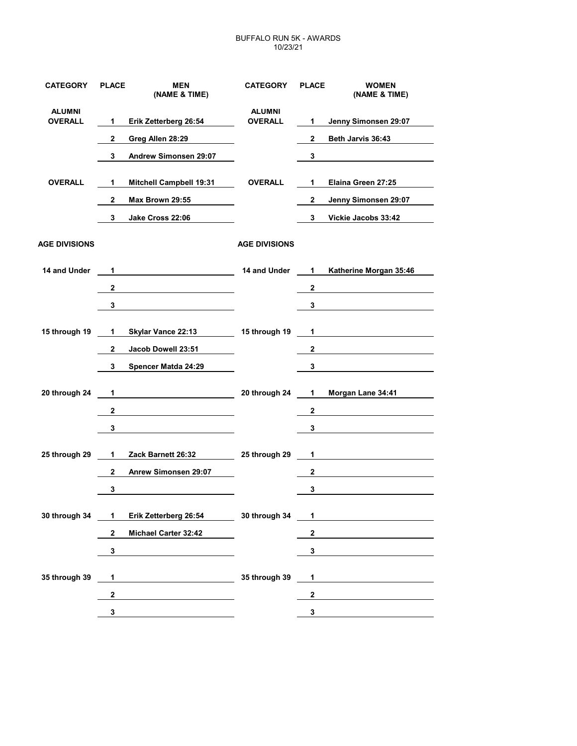## BUFFALO RUN 5K - AWARDS 10/23/21

| <b>CATEGORY</b>                 | <b>PLACE</b> | <b>MEN</b><br>(NAME & TIME)    | <b>CATEGORY</b>                 | <b>PLACE</b>   | <b>WOMEN</b><br>(NAME & TIME) |
|---------------------------------|--------------|--------------------------------|---------------------------------|----------------|-------------------------------|
| <b>ALUMNI</b><br><b>OVERALL</b> | 1            | Erik Zetterberg 26:54          | <b>ALUMNI</b><br><b>OVERALL</b> | $\mathbf{1}$   | Jenny Simonsen 29:07          |
|                                 | 2            | Greg Allen 28:29               |                                 | $\mathbf{2}$   | Beth Jarvis 36:43             |
|                                 | 3            | Andrew Simonsen 29:07          |                                 | 3              |                               |
| <b>OVERALL</b>                  | 1            | <b>Mitchell Campbell 19:31</b> | <b>OVERALL</b>                  | 1              | Elaina Green 27:25            |
|                                 | $\mathbf{2}$ | Max Brown 29:55                |                                 | $\mathbf{2}$   | Jenny Simonsen 29:07          |
|                                 | 3            | Jake Cross 22:06               |                                 | 3              | Vickie Jacobs 33:42           |
| <b>AGE DIVISIONS</b>            |              |                                | <b>AGE DIVISIONS</b>            |                |                               |
| 14 and Under                    | 1            |                                | 14 and Under                    | 1              | Katherine Morgan 35:46        |
|                                 | $\mathbf 2$  |                                |                                 | $\mathbf{2}$   |                               |
|                                 | 3            |                                |                                 | 3              |                               |
| 15 through 19                   | 1            | Skylar Vance 22:13             | 15 through 19                   | $\mathbf{1}$   |                               |
|                                 | $\mathbf{2}$ | Jacob Dowell 23:51             |                                 | $\mathbf{2}$   |                               |
|                                 | 3            | Spencer Matda 24:29            |                                 | 3              |                               |
| 20 through 24                   | 1            |                                | 20 through 24                   | 1              | Morgan Lane 34:41             |
|                                 | $\mathbf{2}$ |                                |                                 | $\mathbf{2}$   |                               |
|                                 | 3            |                                |                                 | 3              |                               |
| 25 through 29                   | 1            | Zack Barnett 26:32             | 25 through 29                   | $\mathbf{1}$   |                               |
|                                 | $\mathbf{2}$ | Anrew Simonsen 29:07           |                                 | $\mathbf{2}$   |                               |
|                                 | 3            |                                |                                 | 3              |                               |
| 30 through 34 1                 |              | Erik Zetterberg 26:54          | 30 through 34                   | $\overline{1}$ |                               |
|                                 | $\mathbf{2}$ | Michael Carter 32:42           |                                 | $\mathbf{2}$   |                               |
|                                 | 3            |                                |                                 | 3              |                               |
| 35 through 39                   | 1            |                                | 35 through 39                   | $\mathbf 1$    |                               |
|                                 | $\mathbf{2}$ |                                |                                 | $\mathbf{2}$   |                               |
|                                 | 3            |                                |                                 | 3 <sup>1</sup> |                               |
|                                 |              |                                |                                 |                |                               |